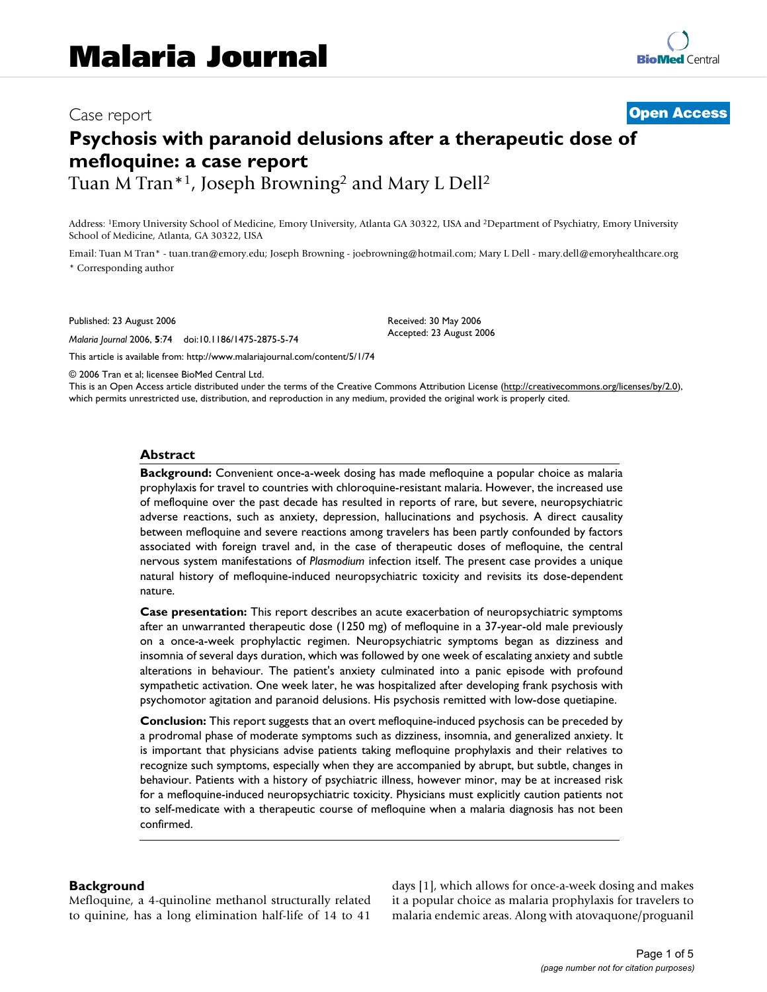# Case report **[Open Access](http://www.biomedcentral.com/info/about/charter/)**

# **Psychosis with paranoid delusions after a therapeutic dose of mefloquine: a case report** Tuan M Tran\*1, Joseph Browning2 and Mary L Dell2

Address: 1Emory University School of Medicine, Emory University, Atlanta GA 30322, USA and 2Department of Psychiatry, Emory University School of Medicine, Atlanta, GA 30322, USA

Email: Tuan M Tran\* - tuan.tran@emory.edu; Joseph Browning - joebrowning@hotmail.com; Mary L Dell - mary.dell@emoryhealthcare.org \* Corresponding author

Published: 23 August 2006

*Malaria Journal* 2006, **5**:74 doi:10.1186/1475-2875-5-74

[This article is available from: http://www.malariajournal.com/content/5/1/74](http://www.malariajournal.com/content/5/1/74)

Received: 30 May 2006 Accepted: 23 August 2006

© 2006 Tran et al; licensee BioMed Central Ltd.

This is an Open Access article distributed under the terms of the Creative Commons Attribution License [\(http://creativecommons.org/licenses/by/2.0\)](http://creativecommons.org/licenses/by/2.0), which permits unrestricted use, distribution, and reproduction in any medium, provided the original work is properly cited.

#### **Abstract**

**Background:** Convenient once-a-week dosing has made mefloquine a popular choice as malaria prophylaxis for travel to countries with chloroquine-resistant malaria. However, the increased use of mefloquine over the past decade has resulted in reports of rare, but severe, neuropsychiatric adverse reactions, such as anxiety, depression, hallucinations and psychosis. A direct causality between mefloquine and severe reactions among travelers has been partly confounded by factors associated with foreign travel and, in the case of therapeutic doses of mefloquine, the central nervous system manifestations of *Plasmodium* infection itself. The present case provides a unique natural history of mefloquine-induced neuropsychiatric toxicity and revisits its dose-dependent nature.

**Case presentation:** This report describes an acute exacerbation of neuropsychiatric symptoms after an unwarranted therapeutic dose (1250 mg) of mefloquine in a 37-year-old male previously on a once-a-week prophylactic regimen. Neuropsychiatric symptoms began as dizziness and insomnia of several days duration, which was followed by one week of escalating anxiety and subtle alterations in behaviour. The patient's anxiety culminated into a panic episode with profound sympathetic activation. One week later, he was hospitalized after developing frank psychosis with psychomotor agitation and paranoid delusions. His psychosis remitted with low-dose quetiapine.

**Conclusion:** This report suggests that an overt mefloquine-induced psychosis can be preceded by a prodromal phase of moderate symptoms such as dizziness, insomnia, and generalized anxiety. It is important that physicians advise patients taking mefloquine prophylaxis and their relatives to recognize such symptoms, especially when they are accompanied by abrupt, but subtle, changes in behaviour. Patients with a history of psychiatric illness, however minor, may be at increased risk for a mefloquine-induced neuropsychiatric toxicity. Physicians must explicitly caution patients not to self-medicate with a therapeutic course of mefloquine when a malaria diagnosis has not been confirmed.

#### **Background**

Mefloquine, a 4-quinoline methanol structurally related to quinine, has a long elimination half-life of 14 to 41

days [1], which allows for once-a-week dosing and makes it a popular choice as malaria prophylaxis for travelers to malaria endemic areas. Along with atovaquone/proguanil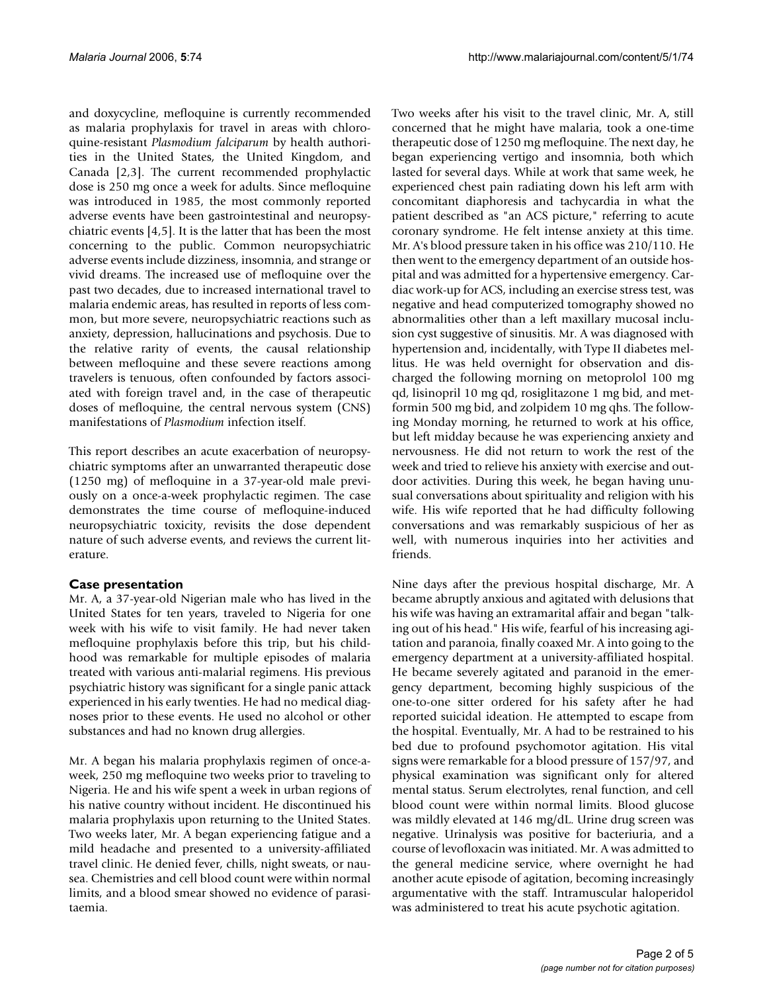and doxycycline, mefloquine is currently recommended as malaria prophylaxis for travel in areas with chloroquine-resistant *Plasmodium falciparum* by health authorities in the United States, the United Kingdom, and Canada [2,3]. The current recommended prophylactic dose is 250 mg once a week for adults. Since mefloquine was introduced in 1985, the most commonly reported adverse events have been gastrointestinal and neuropsychiatric events [4,5]. It is the latter that has been the most concerning to the public. Common neuropsychiatric adverse events include dizziness, insomnia, and strange or vivid dreams. The increased use of mefloquine over the past two decades, due to increased international travel to malaria endemic areas, has resulted in reports of less common, but more severe, neuropsychiatric reactions such as anxiety, depression, hallucinations and psychosis. Due to the relative rarity of events, the causal relationship between mefloquine and these severe reactions among travelers is tenuous, often confounded by factors associated with foreign travel and, in the case of therapeutic doses of mefloquine, the central nervous system (CNS) manifestations of *Plasmodium* infection itself.

This report describes an acute exacerbation of neuropsychiatric symptoms after an unwarranted therapeutic dose (1250 mg) of mefloquine in a 37-year-old male previously on a once-a-week prophylactic regimen. The case demonstrates the time course of mefloquine-induced neuropsychiatric toxicity, revisits the dose dependent nature of such adverse events, and reviews the current literature.

## **Case presentation**

Mr. A, a 37-year-old Nigerian male who has lived in the United States for ten years, traveled to Nigeria for one week with his wife to visit family. He had never taken mefloquine prophylaxis before this trip, but his childhood was remarkable for multiple episodes of malaria treated with various anti-malarial regimens. His previous psychiatric history was significant for a single panic attack experienced in his early twenties. He had no medical diagnoses prior to these events. He used no alcohol or other substances and had no known drug allergies.

Mr. A began his malaria prophylaxis regimen of once-aweek, 250 mg mefloquine two weeks prior to traveling to Nigeria. He and his wife spent a week in urban regions of his native country without incident. He discontinued his malaria prophylaxis upon returning to the United States. Two weeks later, Mr. A began experiencing fatigue and a mild headache and presented to a university-affiliated travel clinic. He denied fever, chills, night sweats, or nausea. Chemistries and cell blood count were within normal limits, and a blood smear showed no evidence of parasitaemia.

Two weeks after his visit to the travel clinic, Mr. A, still concerned that he might have malaria, took a one-time therapeutic dose of 1250 mg mefloquine. The next day, he began experiencing vertigo and insomnia, both which lasted for several days. While at work that same week, he experienced chest pain radiating down his left arm with concomitant diaphoresis and tachycardia in what the patient described as "an ACS picture," referring to acute coronary syndrome. He felt intense anxiety at this time. Mr. A's blood pressure taken in his office was 210/110. He then went to the emergency department of an outside hospital and was admitted for a hypertensive emergency. Cardiac work-up for ACS, including an exercise stress test, was negative and head computerized tomography showed no abnormalities other than a left maxillary mucosal inclusion cyst suggestive of sinusitis. Mr. A was diagnosed with hypertension and, incidentally, with Type II diabetes mellitus. He was held overnight for observation and discharged the following morning on metoprolol 100 mg qd, lisinopril 10 mg qd, rosiglitazone 1 mg bid, and metformin 500 mg bid, and zolpidem 10 mg qhs. The following Monday morning, he returned to work at his office, but left midday because he was experiencing anxiety and nervousness. He did not return to work the rest of the week and tried to relieve his anxiety with exercise and outdoor activities. During this week, he began having unusual conversations about spirituality and religion with his wife. His wife reported that he had difficulty following conversations and was remarkably suspicious of her as well, with numerous inquiries into her activities and friends.

Nine days after the previous hospital discharge, Mr. A became abruptly anxious and agitated with delusions that his wife was having an extramarital affair and began "talking out of his head." His wife, fearful of his increasing agitation and paranoia, finally coaxed Mr. A into going to the emergency department at a university-affiliated hospital. He became severely agitated and paranoid in the emergency department, becoming highly suspicious of the one-to-one sitter ordered for his safety after he had reported suicidal ideation. He attempted to escape from the hospital. Eventually, Mr. A had to be restrained to his bed due to profound psychomotor agitation. His vital signs were remarkable for a blood pressure of 157/97, and physical examination was significant only for altered mental status. Serum electrolytes, renal function, and cell blood count were within normal limits. Blood glucose was mildly elevated at 146 mg/dL. Urine drug screen was negative. Urinalysis was positive for bacteriuria, and a course of levofloxacin was initiated. Mr. A was admitted to the general medicine service, where overnight he had another acute episode of agitation, becoming increasingly argumentative with the staff. Intramuscular haloperidol was administered to treat his acute psychotic agitation.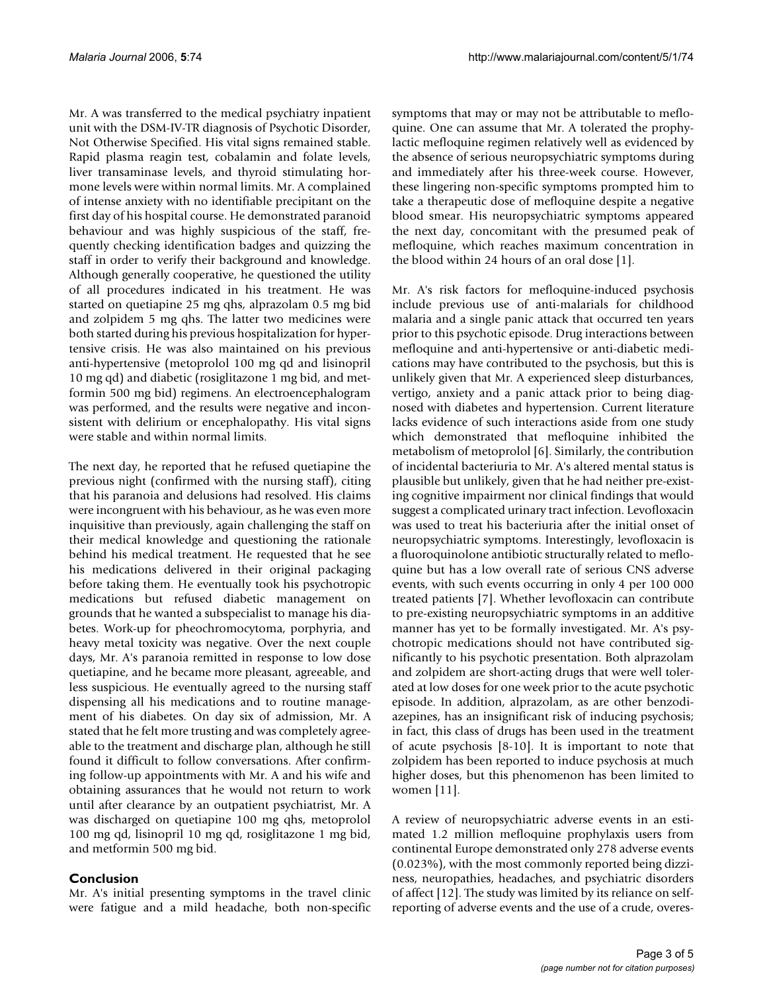Mr. A was transferred to the medical psychiatry inpatient unit with the DSM-IV-TR diagnosis of Psychotic Disorder, Not Otherwise Specified. His vital signs remained stable. Rapid plasma reagin test, cobalamin and folate levels, liver transaminase levels, and thyroid stimulating hormone levels were within normal limits. Mr. A complained of intense anxiety with no identifiable precipitant on the first day of his hospital course. He demonstrated paranoid behaviour and was highly suspicious of the staff, frequently checking identification badges and quizzing the staff in order to verify their background and knowledge. Although generally cooperative, he questioned the utility of all procedures indicated in his treatment. He was started on quetiapine 25 mg qhs, alprazolam 0.5 mg bid and zolpidem 5 mg qhs. The latter two medicines were both started during his previous hospitalization for hypertensive crisis. He was also maintained on his previous anti-hypertensive (metoprolol 100 mg qd and lisinopril 10 mg qd) and diabetic (rosiglitazone 1 mg bid, and metformin 500 mg bid) regimens. An electroencephalogram was performed, and the results were negative and inconsistent with delirium or encephalopathy. His vital signs were stable and within normal limits.

The next day, he reported that he refused quetiapine the previous night (confirmed with the nursing staff), citing that his paranoia and delusions had resolved. His claims were incongruent with his behaviour, as he was even more inquisitive than previously, again challenging the staff on their medical knowledge and questioning the rationale behind his medical treatment. He requested that he see his medications delivered in their original packaging before taking them. He eventually took his psychotropic medications but refused diabetic management on grounds that he wanted a subspecialist to manage his diabetes. Work-up for pheochromocytoma, porphyria, and heavy metal toxicity was negative. Over the next couple days, Mr. A's paranoia remitted in response to low dose quetiapine, and he became more pleasant, agreeable, and less suspicious. He eventually agreed to the nursing staff dispensing all his medications and to routine management of his diabetes. On day six of admission, Mr. A stated that he felt more trusting and was completely agreeable to the treatment and discharge plan, although he still found it difficult to follow conversations. After confirming follow-up appointments with Mr. A and his wife and obtaining assurances that he would not return to work until after clearance by an outpatient psychiatrist, Mr. A was discharged on quetiapine 100 mg qhs, metoprolol 100 mg qd, lisinopril 10 mg qd, rosiglitazone 1 mg bid, and metformin 500 mg bid.

# **Conclusion**

Mr. A's initial presenting symptoms in the travel clinic were fatigue and a mild headache, both non-specific symptoms that may or may not be attributable to mefloquine. One can assume that Mr. A tolerated the prophylactic mefloquine regimen relatively well as evidenced by the absence of serious neuropsychiatric symptoms during and immediately after his three-week course. However, these lingering non-specific symptoms prompted him to take a therapeutic dose of mefloquine despite a negative blood smear. His neuropsychiatric symptoms appeared the next day, concomitant with the presumed peak of mefloquine, which reaches maximum concentration in the blood within 24 hours of an oral dose [1].

Mr. A's risk factors for mefloquine-induced psychosis include previous use of anti-malarials for childhood malaria and a single panic attack that occurred ten years prior to this psychotic episode. Drug interactions between mefloquine and anti-hypertensive or anti-diabetic medications may have contributed to the psychosis, but this is unlikely given that Mr. A experienced sleep disturbances, vertigo, anxiety and a panic attack prior to being diagnosed with diabetes and hypertension. Current literature lacks evidence of such interactions aside from one study which demonstrated that mefloquine inhibited the metabolism of metoprolol [6]. Similarly, the contribution of incidental bacteriuria to Mr. A's altered mental status is plausible but unlikely, given that he had neither pre-existing cognitive impairment nor clinical findings that would suggest a complicated urinary tract infection. Levofloxacin was used to treat his bacteriuria after the initial onset of neuropsychiatric symptoms. Interestingly, levofloxacin is a fluoroquinolone antibiotic structurally related to mefloquine but has a low overall rate of serious CNS adverse events, with such events occurring in only 4 per 100 000 treated patients [7]. Whether levofloxacin can contribute to pre-existing neuropsychiatric symptoms in an additive manner has yet to be formally investigated. Mr. A's psychotropic medications should not have contributed significantly to his psychotic presentation. Both alprazolam and zolpidem are short-acting drugs that were well tolerated at low doses for one week prior to the acute psychotic episode. In addition, alprazolam, as are other benzodiazepines, has an insignificant risk of inducing psychosis; in fact, this class of drugs has been used in the treatment of acute psychosis [8-10]. It is important to note that zolpidem has been reported to induce psychosis at much higher doses, but this phenomenon has been limited to women [11].

A review of neuropsychiatric adverse events in an estimated 1.2 million mefloquine prophylaxis users from continental Europe demonstrated only 278 adverse events (0.023%), with the most commonly reported being dizziness, neuropathies, headaches, and psychiatric disorders of affect [12]. The study was limited by its reliance on selfreporting of adverse events and the use of a crude, overes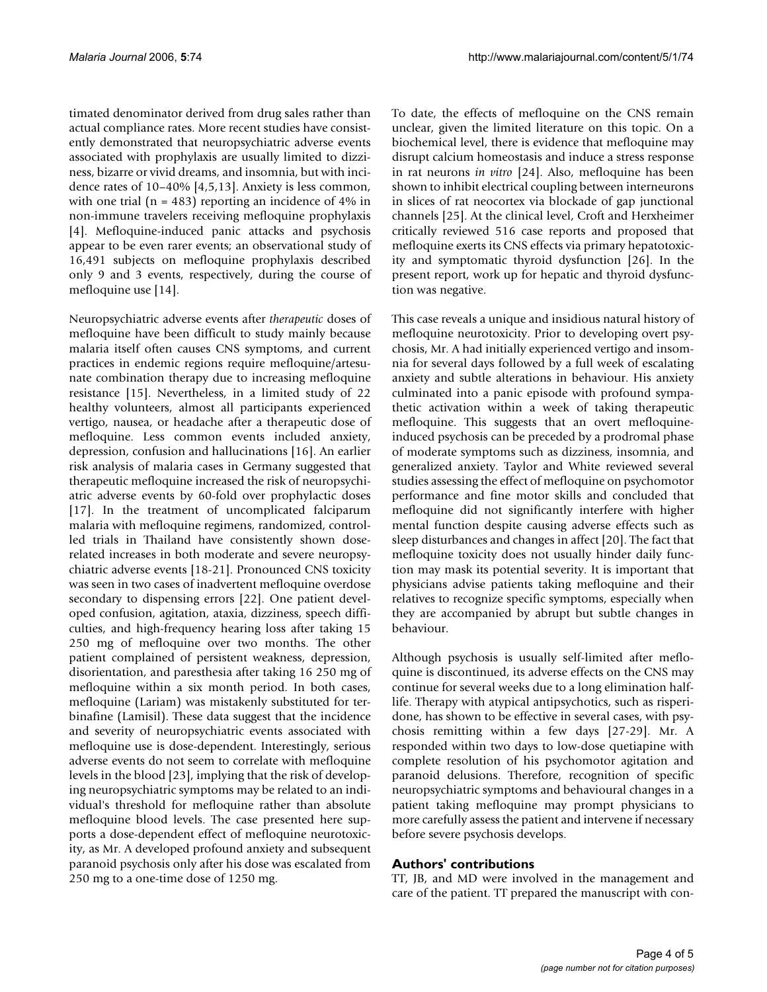timated denominator derived from drug sales rather than actual compliance rates. More recent studies have consistently demonstrated that neuropsychiatric adverse events associated with prophylaxis are usually limited to dizziness, bizarre or vivid dreams, and insomnia, but with incidence rates of 10–40% [4,5,13]. Anxiety is less common, with one trial ( $n = 483$ ) reporting an incidence of 4% in non-immune travelers receiving mefloquine prophylaxis [4]. Mefloquine-induced panic attacks and psychosis appear to be even rarer events; an observational study of 16,491 subjects on mefloquine prophylaxis described only 9 and 3 events, respectively, during the course of mefloquine use [14].

Neuropsychiatric adverse events after *therapeutic* doses of mefloquine have been difficult to study mainly because malaria itself often causes CNS symptoms, and current practices in endemic regions require mefloquine/artesunate combination therapy due to increasing mefloquine resistance [15]. Nevertheless, in a limited study of 22 healthy volunteers, almost all participants experienced vertigo, nausea, or headache after a therapeutic dose of mefloquine. Less common events included anxiety, depression, confusion and hallucinations [16]. An earlier risk analysis of malaria cases in Germany suggested that therapeutic mefloquine increased the risk of neuropsychiatric adverse events by 60-fold over prophylactic doses [17]. In the treatment of uncomplicated falciparum malaria with mefloquine regimens, randomized, controlled trials in Thailand have consistently shown doserelated increases in both moderate and severe neuropsychiatric adverse events [18-21]. Pronounced CNS toxicity was seen in two cases of inadvertent mefloquine overdose secondary to dispensing errors [22]. One patient developed confusion, agitation, ataxia, dizziness, speech difficulties, and high-frequency hearing loss after taking 15 250 mg of mefloquine over two months. The other patient complained of persistent weakness, depression, disorientation, and paresthesia after taking 16 250 mg of mefloquine within a six month period. In both cases, mefloquine (Lariam) was mistakenly substituted for terbinafine (Lamisil). These data suggest that the incidence and severity of neuropsychiatric events associated with mefloquine use is dose-dependent. Interestingly, serious adverse events do not seem to correlate with mefloquine levels in the blood [23], implying that the risk of developing neuropsychiatric symptoms may be related to an individual's threshold for mefloquine rather than absolute mefloquine blood levels. The case presented here supports a dose-dependent effect of mefloquine neurotoxicity, as Mr. A developed profound anxiety and subsequent paranoid psychosis only after his dose was escalated from 250 mg to a one-time dose of 1250 mg.

To date, the effects of mefloquine on the CNS remain unclear, given the limited literature on this topic. On a biochemical level, there is evidence that mefloquine may disrupt calcium homeostasis and induce a stress response in rat neurons *in vitro* [24]. Also, mefloquine has been shown to inhibit electrical coupling between interneurons in slices of rat neocortex via blockade of gap junctional channels [25]. At the clinical level, Croft and Herxheimer critically reviewed 516 case reports and proposed that mefloquine exerts its CNS effects via primary hepatotoxicity and symptomatic thyroid dysfunction [26]. In the present report, work up for hepatic and thyroid dysfunction was negative.

This case reveals a unique and insidious natural history of mefloquine neurotoxicity. Prior to developing overt psychosis, Mr. A had initially experienced vertigo and insomnia for several days followed by a full week of escalating anxiety and subtle alterations in behaviour. His anxiety culminated into a panic episode with profound sympathetic activation within a week of taking therapeutic mefloquine. This suggests that an overt mefloquineinduced psychosis can be preceded by a prodromal phase of moderate symptoms such as dizziness, insomnia, and generalized anxiety. Taylor and White reviewed several studies assessing the effect of mefloquine on psychomotor performance and fine motor skills and concluded that mefloquine did not significantly interfere with higher mental function despite causing adverse effects such as sleep disturbances and changes in affect [20]. The fact that mefloquine toxicity does not usually hinder daily function may mask its potential severity. It is important that physicians advise patients taking mefloquine and their relatives to recognize specific symptoms, especially when they are accompanied by abrupt but subtle changes in behaviour.

Although psychosis is usually self-limited after mefloquine is discontinued, its adverse effects on the CNS may continue for several weeks due to a long elimination halflife. Therapy with atypical antipsychotics, such as risperidone, has shown to be effective in several cases, with psychosis remitting within a few days [27-29]. Mr. A responded within two days to low-dose quetiapine with complete resolution of his psychomotor agitation and paranoid delusions. Therefore, recognition of specific neuropsychiatric symptoms and behavioural changes in a patient taking mefloquine may prompt physicians to more carefully assess the patient and intervene if necessary before severe psychosis develops.

#### **Authors' contributions**

TT, JB, and MD were involved in the management and care of the patient. TT prepared the manuscript with con-